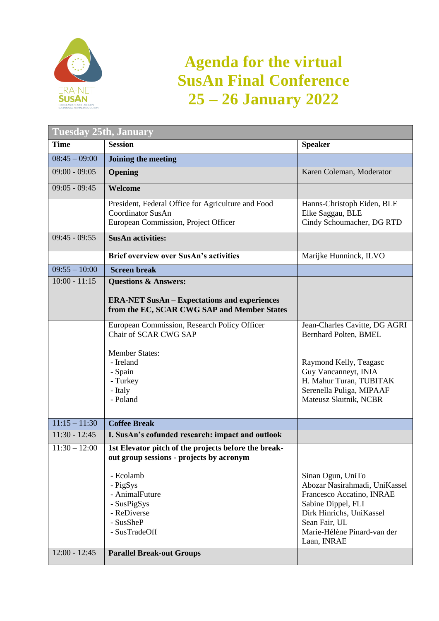

## **Agenda for the virtual SusAn Final Conference 25 – 26 January 2022**

| <b>Tuesday 25th, January</b> |                                                                                                                        |                                                                                                                                                                                                  |  |
|------------------------------|------------------------------------------------------------------------------------------------------------------------|--------------------------------------------------------------------------------------------------------------------------------------------------------------------------------------------------|--|
| <b>Time</b>                  | <b>Session</b>                                                                                                         | <b>Speaker</b>                                                                                                                                                                                   |  |
| $08:45 - 09:00$              | Joining the meeting                                                                                                    |                                                                                                                                                                                                  |  |
| $09:00 - 09:05$              | Opening                                                                                                                | Karen Coleman, Moderator                                                                                                                                                                         |  |
| $09:05 - 09:45$              | Welcome                                                                                                                |                                                                                                                                                                                                  |  |
|                              | President, Federal Office for Agriculture and Food<br><b>Coordinator SusAn</b><br>European Commission, Project Officer | Hanns-Christoph Eiden, BLE<br>Elke Saggau, BLE<br>Cindy Schoumacher, DG RTD                                                                                                                      |  |
| $09:45 - 09:55$              | <b>SusAn activities:</b>                                                                                               |                                                                                                                                                                                                  |  |
|                              | <b>Brief overview over SusAn's activities</b>                                                                          | Marijke Hunninck, ILVO                                                                                                                                                                           |  |
| $09:55 - 10:00$              | <b>Screen break</b>                                                                                                    |                                                                                                                                                                                                  |  |
| $10:00 - 11:15$              | <b>Questions &amp; Answers:</b>                                                                                        |                                                                                                                                                                                                  |  |
|                              | <b>ERA-NET SusAn – Expectations and experiences</b><br>from the EC, SCAR CWG SAP and Member States                     |                                                                                                                                                                                                  |  |
|                              | European Commission, Research Policy Officer                                                                           | Jean-Charles Cavitte, DG AGRI                                                                                                                                                                    |  |
|                              | Chair of SCAR CWG SAP                                                                                                  | Bernhard Polten, BMEL                                                                                                                                                                            |  |
|                              | <b>Member States:</b><br>- Ireland<br>- Spain<br>- Turkey<br>- Italy<br>- Poland                                       | Raymond Kelly, Teagasc<br>Guy Vancanneyt, INIA<br>H. Mahur Turan, TUBITAK<br>Serenella Puliga, MIPAAF<br>Mateusz Skutnik, NCBR                                                                   |  |
| $11:15 - 11:30$              | <b>Coffee Break</b>                                                                                                    |                                                                                                                                                                                                  |  |
| $11:30 - 12:45$              | I. SusAn's cofunded research: impact and outlook                                                                       |                                                                                                                                                                                                  |  |
| $\overline{11:}30 - 12:00$   | 1st Elevator pitch of the projects before the break-<br>out group sessions - projects by acronym                       |                                                                                                                                                                                                  |  |
|                              | - Ecolamb<br>- PigSys<br>- AnimalFuture<br>- SusPigSys<br>- ReDiverse<br>- SusSheP<br>- SusTradeOff                    | Sinan Ogun, UniTo<br>Abozar Nasirahmadi, UniKassel<br>Francesco Accatino, INRAE<br>Sabine Dippel, FLI<br>Dirk Hinrichs, UniKassel<br>Sean Fair, UL<br>Marie-Hélène Pinard-van der<br>Laan, INRAE |  |
| $12:00 - 12:45$              | <b>Parallel Break-out Groups</b>                                                                                       |                                                                                                                                                                                                  |  |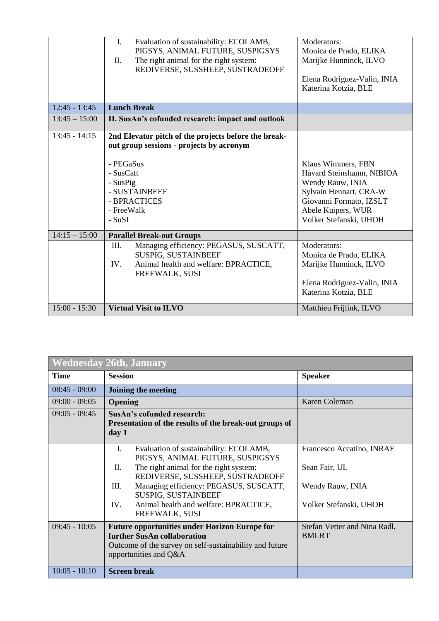|                 | Evaluation of sustainability: ECOLAMB,<br>$\mathbf{I}$ .<br>PIGSYS, ANIMAL FUTURE, SUSPIGSYS<br>The right animal for the right system:<br>Π.<br>REDIVERSE, SUSSHEEP, SUSTRADEOFF                | Moderators:<br>Monica de Prado, ELIKA<br>Marijke Hunninck, ILVO<br>Elena Rodriguez-Valin, INIA<br>Katerina Kotzia, BLE                                                   |
|-----------------|-------------------------------------------------------------------------------------------------------------------------------------------------------------------------------------------------|--------------------------------------------------------------------------------------------------------------------------------------------------------------------------|
| $12:45 - 13:45$ | <b>Lunch Break</b>                                                                                                                                                                              |                                                                                                                                                                          |
| $13:45 - 15:00$ | II. SusAn's cofunded research: impact and outlook                                                                                                                                               |                                                                                                                                                                          |
| $13:45 - 14:15$ | 2nd Elevator pitch of the projects before the break-<br>out group sessions - projects by acronym<br>- PEGaSus<br>- SusCatt<br>- SusPig<br>- SUSTAINBEEF<br>- BPRACTICES<br>- FreeWalk<br>- SuSI | Klaus Wimmers, FBN<br>Håvard Steinshamn, NIBIOA<br>Wendy Rauw, INIA<br>Sylvain Hennart, CRA-W<br>Giovanni Formato, IZSLT<br>Abele Kuipers, WUR<br>Volker Stefanski, UHOH |
| $14:15 - 15:00$ | <b>Parallel Break-out Groups</b>                                                                                                                                                                |                                                                                                                                                                          |
|                 | III.<br>Managing efficiency: PEGASUS, SUSCATT,<br>SUSPIG, SUSTAINBEEF<br>IV.<br>Animal health and welfare: BPRACTICE,<br>FREEWALK, SUSI                                                         | Moderators:<br>Monica de Prado, ELIKA<br>Marijke Hunninck, ILVO<br>Elena Rodriguez-Valin, INIA<br>Katerina Kotzia, BLE                                                   |
| $15:00 - 15:30$ | <b>Virtual Visit to ILVO</b>                                                                                                                                                                    | Matthieu Frijlink, ILVO                                                                                                                                                  |

| <b>Wednesday 26th, January</b> |                                                                                                                                                                         |                                              |  |
|--------------------------------|-------------------------------------------------------------------------------------------------------------------------------------------------------------------------|----------------------------------------------|--|
| <b>Time</b>                    | <b>Session</b>                                                                                                                                                          | <b>Speaker</b>                               |  |
| $08:45 - 09:00$                | Joining the meeting                                                                                                                                                     |                                              |  |
| $09:00 - 09:05$                | <b>Opening</b>                                                                                                                                                          | Karen Coleman                                |  |
| $09:05 - 09:45$                | SusAn's cofunded research:                                                                                                                                              |                                              |  |
|                                | Presentation of the results of the break-out groups of<br>day 1                                                                                                         |                                              |  |
|                                | I.<br>Evaluation of sustainability: ECOLAMB,<br>PIGSYS, ANIMAL FUTURE, SUSPIGSYS                                                                                        | Francesco Accatino, INRAE                    |  |
|                                | The right animal for the right system:<br>П.<br>REDIVERSE, SUSSHEEP, SUSTRADEOFF                                                                                        | Sean Fair, UL                                |  |
|                                | Managing efficiency: PEGASUS, SUSCATT,<br>Ш.<br>SUSPIG, SUSTAINBEEF                                                                                                     | Wendy Rauw, INIA                             |  |
|                                | Animal health and welfare: BPRACTICE,<br>IV.<br><b>FREEWALK, SUSI</b>                                                                                                   | Volker Stefanski, UHOH                       |  |
| $09:45 - 10:05$                | <b>Future opportunities under Horizon Europe for</b><br>further SusAn collaboration<br>Outcome of the survey on self-sustainability and future<br>opportunities and Q&A | Stefan Vetter and Nina Radl,<br><b>BMLRT</b> |  |
| $10:05 - 10:10$                | <b>Screen break</b>                                                                                                                                                     |                                              |  |